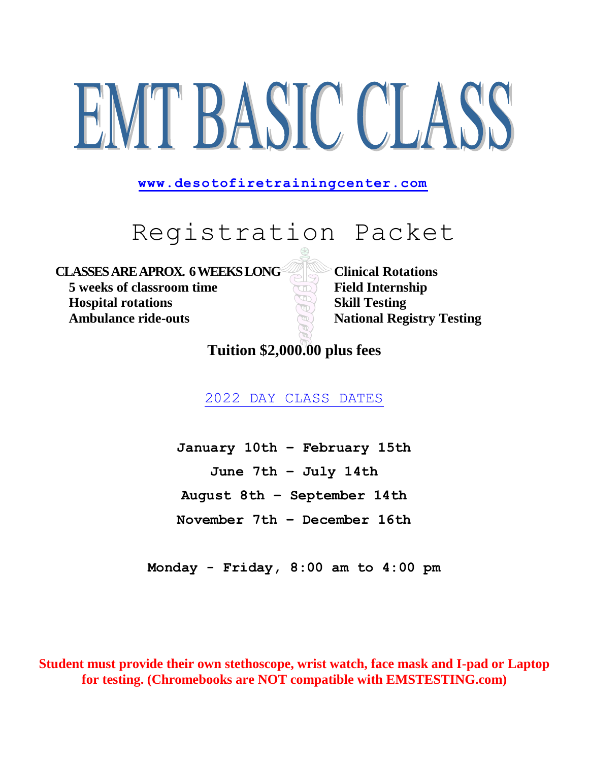# EMT BASIC CLASS

**[www.desotofiretrainingc](http://www.desotofiretraining/)enter.com** 

# Registration Packet

**CLASSES AREAPROX. 6WEEKSLONG Clinical Rotations 5** weeks of classroom time **Field Internship Hospital rotations Skill Testing Ambulance ride-outs National Registry Testing** 

**Tuition \$2,000.00 plus fees** 

2022 DAY CLASS DATES

**January 10th – February 15th June 7th – July 14th August 8th – September 14th November 7th – December 16th**

**Monday - Friday, 8:00 am to 4:00 pm**

**Student must provide their own stethoscope, wrist watch, face mask and I-pad or Laptop for testing. (Chromebooks are NOT compatible with EMSTESTING.com)**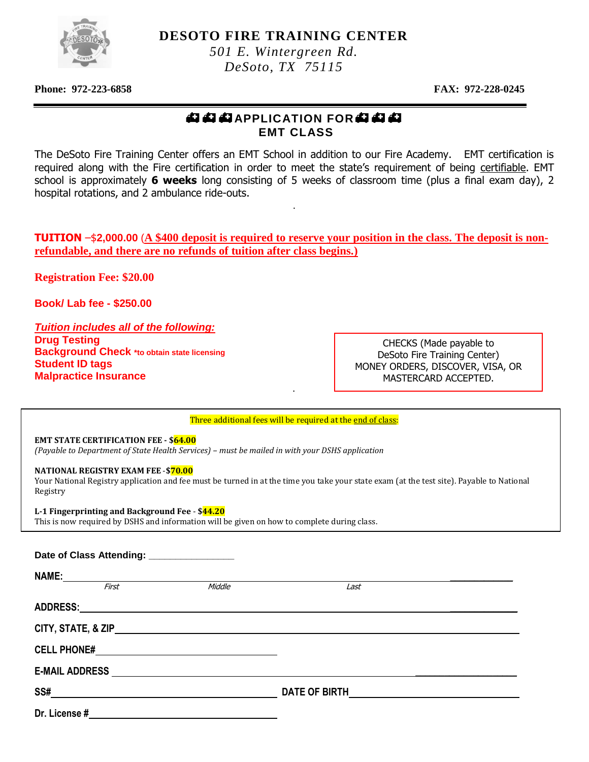

**DESOTO FIRE TRAINING CENTER**

*501 E. Wintergreen Rd. DeSoto, TX 75115*

**Phone: 972-223-6858 FAX: 972-228-0245** 

#### **母母母APPLICATION FOR母母母 EMT CLASS**

The DeSoto Fire Training Center offers an EMT School in addition to our Fire Academy. EMT certification is required along with the Fire certification in order to meet the state's requirement of being certifiable. EMT school is approximately **6 weeks** long consisting of 5 weeks of classroom time (plus a final exam day), 2 hospital rotations, and 2 ambulance ride-outs.

.

**TUITION** –\$**2,000.00** (**A \$400 deposit is required to reserve your position in the class. The deposit is nonrefundable, and there are no refunds of tuition after class begins.)**

**Registration Fee: \$20.00**

**Book/ Lab fee - \$250.00**

*Tuition includes all of the following:* **Drug Testing Background Check \*to obtain state licensing Student ID tags Malpractice Insurance**

CHECKS (Made payable to DeSoto Fire Training Center) MONEY ORDERS, DISCOVER, VISA, OR MASTERCARD ACCEPTED.

Three additional fees will be required at the end of class:

.

**EMT STATE CERTIFICATION FEE - \$64.00**

*(Payable to Department of State Health Services) – must be mailed in with your DSHS application*

**NATIONAL REGISTRY EXAM FEE** -**\$70.00**

j

Your National Registry application and fee must be turned in at the time you take your state exam (at the test site). Payable to National Registry

#### **L-1 Fingerprinting and Background Fee** - **\$44.20**

This is now required by DSHS and information will be given on how to complete during class.

|               | Date of Class Attending: ________________ |                                                                                                                |      |  |
|---------------|-------------------------------------------|----------------------------------------------------------------------------------------------------------------|------|--|
|               |                                           |                                                                                                                |      |  |
|               | First                                     | Middle                                                                                                         | Last |  |
|               |                                           |                                                                                                                |      |  |
|               |                                           |                                                                                                                |      |  |
|               |                                           |                                                                                                                |      |  |
|               |                                           | E-MAIL ADDRESS NAME AND RESIDENCE AND RESIDENCE AND RESIDENCE AND RESIDENCE AND RESIDENCE AND RESIDENCE AND RE |      |  |
|               |                                           |                                                                                                                |      |  |
| Dr. License # |                                           |                                                                                                                |      |  |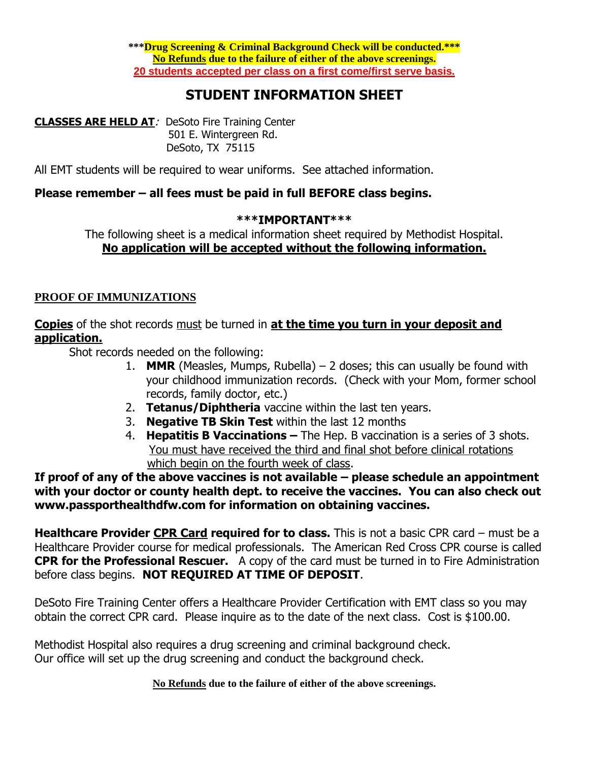# **STUDENT INFORMATION SHEET**

**CLASSES ARE HELD AT**: DeSoto Fire Training Center 501 E. Wintergreen Rd. DeSoto, TX 75115

All EMT students will be required to wear uniforms. See attached information.

#### **Please remember – all fees must be paid in full BEFORE class begins.**

#### **\*\*\*IMPORTANT\*\*\***

The following sheet is a medical information sheet required by Methodist Hospital. **No application will be accepted without the following information.**

#### **PROOF OF IMMUNIZATIONS**

**Copies** of the shot records must be turned in **at the time you turn in your deposit and application.**

Shot records needed on the following:

- 1. **MMR** (Measles, Mumps, Rubella)  $-2$  doses; this can usually be found with your childhood immunization records. (Check with your Mom, former school records, family doctor, etc.)
- 2. **Tetanus/Diphtheria** vaccine within the last ten years.
- 3. **Negative TB Skin Test** within the last 12 months
- 4. **Hepatitis B Vaccinations –** The Hep. B vaccination is a series of 3 shots. You must have received the third and final shot before clinical rotations which begin on the fourth week of class.

**If proof of any of the above vaccines is not available – please schedule an appointment with your doctor or county health dept. to receive the vaccines. You can also check out www.passporthealthdfw.com for information on obtaining vaccines.**

**Healthcare Provider CPR Card required for to class.** This is not a basic CPR card – must be a Healthcare Provider course for medical professionals. The American Red Cross CPR course is called **CPR for the Professional Rescuer.** A copy of the card must be turned in to Fire Administration before class begins. **NOT REQUIRED AT TIME OF DEPOSIT**.

DeSoto Fire Training Center offers a Healthcare Provider Certification with EMT class so you may obtain the correct CPR card. Please inquire as to the date of the next class. Cost is \$100.00.

Methodist Hospital also requires a drug screening and criminal background check. Our office will set up the drug screening and conduct the background check.

**No Refunds due to the failure of either of the above screenings.**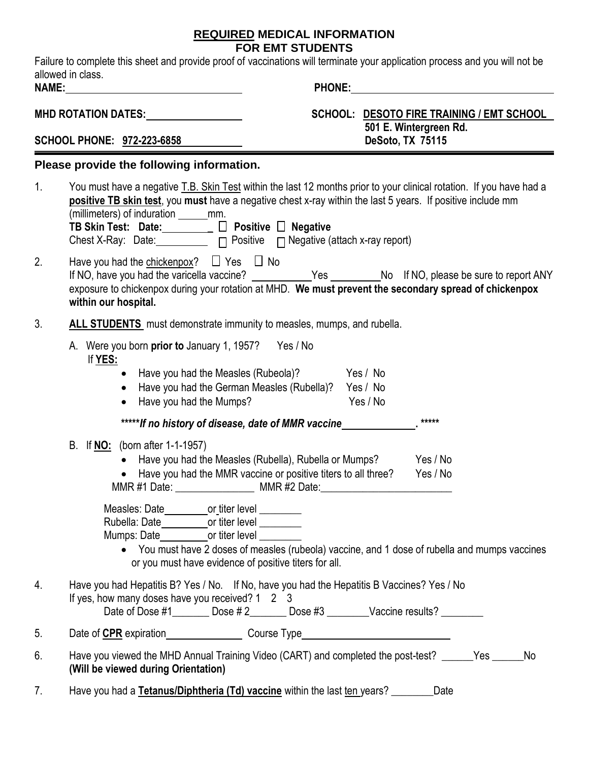#### **REQUIRED MEDICAL INFORMATION FOR EMT STUDENTS**

Failure to complete this sheet and provide proof of vaccinations will terminate your application process and you will not be allowed in class.

| NAME:                                                                                                                                        |                                                                                                                                                                                                                                                                                                                                                                                                                                                                                       | <b>PHONE:</b>                                       |                                            |                                           |
|----------------------------------------------------------------------------------------------------------------------------------------------|---------------------------------------------------------------------------------------------------------------------------------------------------------------------------------------------------------------------------------------------------------------------------------------------------------------------------------------------------------------------------------------------------------------------------------------------------------------------------------------|-----------------------------------------------------|--------------------------------------------|-------------------------------------------|
| MHD ROTATION DATES: Universe Production Control Data Control Data Control Data Control Data Control Data Contr<br>SCHOOL PHONE: 972-223-6858 |                                                                                                                                                                                                                                                                                                                                                                                                                                                                                       |                                                     | 501 E. Wintergreen Rd.<br>DeSoto, TX 75115 | SCHOOL: DESOTO FIRE TRAINING / EMT SCHOOL |
|                                                                                                                                              | Please provide the following information.                                                                                                                                                                                                                                                                                                                                                                                                                                             |                                                     |                                            |                                           |
| 1.                                                                                                                                           | You must have a negative T.B. Skin Test within the last 12 months prior to your clinical rotation. If you have had a<br>positive TB skin test, you must have a negative chest x-ray within the last 5 years. If positive include mm<br>(millimeters) of induration ______mm.<br>TB Skin Test: Date: ________ □ Positive □ Negative<br>Chest X-Ray: Date: $\Box$ $\Box$ Positive $\Box$ Negative (attach x-ray report)                                                                 |                                                     |                                            |                                           |
| 2.                                                                                                                                           | Have you had the chickenpox? $\Box$ Yes $\Box$ No<br>If NO, have you had the varicella vaccine? ____________Yes __________No If NO, please be sure to report ANY<br>exposure to chickenpox during your rotation at MHD. We must prevent the secondary spread of chickenpox<br>within our hospital.                                                                                                                                                                                    |                                                     |                                            |                                           |
| 3.                                                                                                                                           | ALL STUDENTS must demonstrate immunity to measles, mumps, and rubella.                                                                                                                                                                                                                                                                                                                                                                                                                |                                                     |                                            |                                           |
|                                                                                                                                              | A. Were you born prior to January 1, 1957? Yes / No<br>If YES:<br>Have you had the Measles (Rubeola)? Yes / No<br>Have you had the Mumps?<br>$\bullet$                                                                                                                                                                                                                                                                                                                                | Have you had the German Measles (Rubella)? Yes / No | Yes / No                                   |                                           |
|                                                                                                                                              | *****If no history of disease, date of MMR vaccine                                                                                                                                                                                                                                                                                                                                                                                                                                    |                                                     | *****                                      |                                           |
|                                                                                                                                              | B. If <b>NO</b> : (born after 1-1-1957)<br>• Have you had the Measles (Rubella), Rubella or Mumps? Yes / No<br>• Have you had the MMR vaccine or positive titers to all three?<br>MMR #1 Date: ________________________ MMR #2 Date: _____________________________                                                                                                                                                                                                                    |                                                     | Yes / No                                   |                                           |
|                                                                                                                                              | Measles: Date<br>or_titer level<br>Rubella: Date <b>compared the Contract Contract Contract Contract Contract Contract Contract Contract Contract Contract Contract Contract Contract Contract Contract Contract Contract Contract Contract Contract Contract Contr</b><br>Mumps: Date_____________or titer level ________<br>• You must have 2 doses of measles (rubeola) vaccine, and 1 dose of rubella and mumps vaccines<br>or you must have evidence of positive titers for all. |                                                     |                                            |                                           |
| 4.                                                                                                                                           | Have you had Hepatitis B? Yes / No. If No, have you had the Hepatitis B Vaccines? Yes / No<br>If yes, how many doses have you received? 1 2 3<br>Date of Dose #1 _________ Dose #2 ________ Dose #3 ________Vaccine results? _________                                                                                                                                                                                                                                                |                                                     |                                            |                                           |
| 5.                                                                                                                                           |                                                                                                                                                                                                                                                                                                                                                                                                                                                                                       |                                                     |                                            |                                           |
| 6.                                                                                                                                           | Have you viewed the MHD Annual Training Video (CART) and completed the post-test? _____Yes _____<br>(Will be viewed during Orientation)                                                                                                                                                                                                                                                                                                                                               |                                                     |                                            | No                                        |

7. Have you had a **Tetanus/Diphtheria (Td) vaccine** within the last ten years? \_\_\_\_\_\_\_\_Date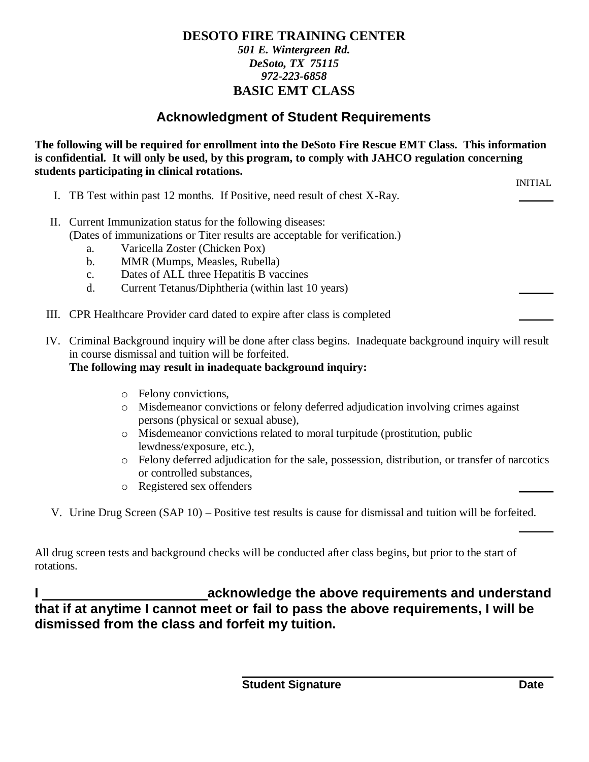#### **DESOTO FIRE TRAINING CENTER** *501 E. Wintergreen Rd. DeSoto, TX 75115 972-223-6858* **BASIC EMT CLASS**

# **Acknowledgment of Student Requirements**

**The following will be required for enrollment into the DeSoto Fire Rescue EMT Class. This information is confidential. It will only be used, by this program, to comply with JAHCO regulation concerning students participating in clinical rotations.**

INITIAL

- I. TB Test within past 12 months. If Positive, need result of chest X-Ray.
- II. Current Immunization status for the following diseases: (Dates of immunizations or Titer results are acceptable for verification.)
	- a. Varicella Zoster (Chicken Pox)
	- b. MMR (Mumps, Measles, Rubella)
	- c. Dates of ALL three Hepatitis B vaccines
	- d. Current Tetanus/Diphtheria (within last 10 years)
- III. CPR Healthcare Provider card dated to expire after class is completed
- IV. Criminal Background inquiry will be done after class begins. Inadequate background inquiry will result in course dismissal and tuition will be forfeited.

#### **The following may result in inadequate background inquiry:**

- <sup>o</sup> Felony convictions,
- <sup>o</sup> Misdemeanor convictions or felony deferred adjudication involving crimes against persons (physical or sexual abuse),
- <sup>o</sup> Misdemeanor convictions related to moral turpitude (prostitution, public lewdness/exposure, etc.),
- <sup>o</sup> Felony deferred adjudication for the sale, possession, distribution, or transfer of narcotics or controlled substances,
- <sup>o</sup> Registered sex offenders
- V. Urine Drug Screen (SAP 10) Positive test results is cause for dismissal and tuition will be forfeited.

All drug screen tests and background checks will be conducted after class begins, but prior to the start of rotations.

**I acknowledge the above requirements and understand that if at anytime I cannot meet or fail to pass the above requirements, I will be dismissed from the class and forfeit my tuition.**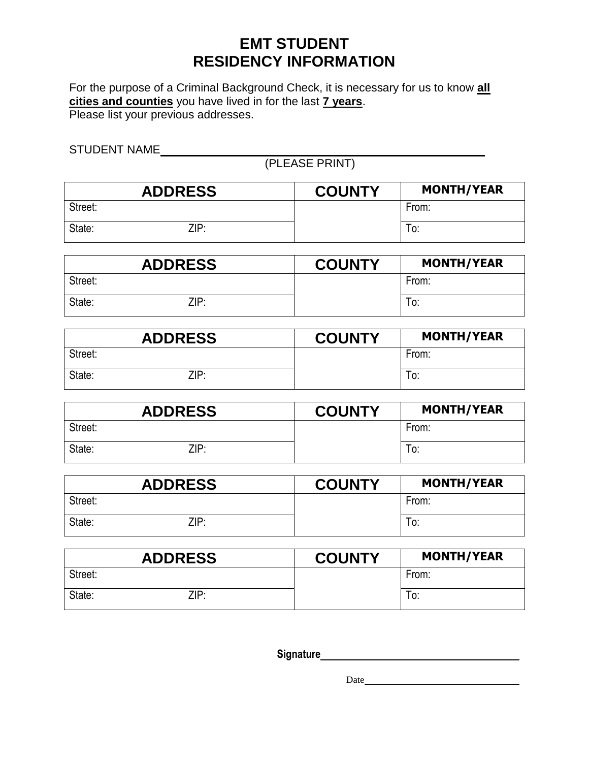# **EMT STUDENT RESIDENCY INFORMATION**

For the purpose of a Criminal Background Check, it is necessary for us to know **all cities and counties** you have lived in for the last **7 years**. Please list your previous addresses.

STUDENT NAME

(PLEASE PRINT)

| <b>ADDRESS</b> | <b>COUNTY</b> | <b>MONTH/YEAR</b> |
|----------------|---------------|-------------------|
| Street:        |               | From:             |
| State:<br>ZIP: |               | To:               |

| <b>ADDRESS</b> | <b>COUNTY</b> | <b>MONTH/YEAR</b> |
|----------------|---------------|-------------------|
| Street:        |               | From:             |
| State:<br>ZIP: |               | To:               |

| <b>ADDRESS</b> | <b>COUNTY</b> | <b>MONTH/YEAR</b> |
|----------------|---------------|-------------------|
| Street:        |               | From:             |
| State:<br>ZIP: |               | To:               |

| <b>ADDRESS</b> | <b>COUNTY</b> | <b>MONTH/YEAR</b> |
|----------------|---------------|-------------------|
| Street:        |               | From:             |
| State:<br>ZIP: |               | To:               |

| <b>ADDRESS</b> | <b>COUNTY</b> | <b>MONTH/YEAR</b> |
|----------------|---------------|-------------------|
| Street:        |               | From:             |
| State:<br>ZIP: |               | To:               |

|         | <b>ADDRESS</b> | <b>COUNTY</b> | <b>MONTH/YEAR</b> |
|---------|----------------|---------------|-------------------|
| Street: |                |               | From:             |
| State:  | ZIP:           |               | 0.                |

**Signature**

Date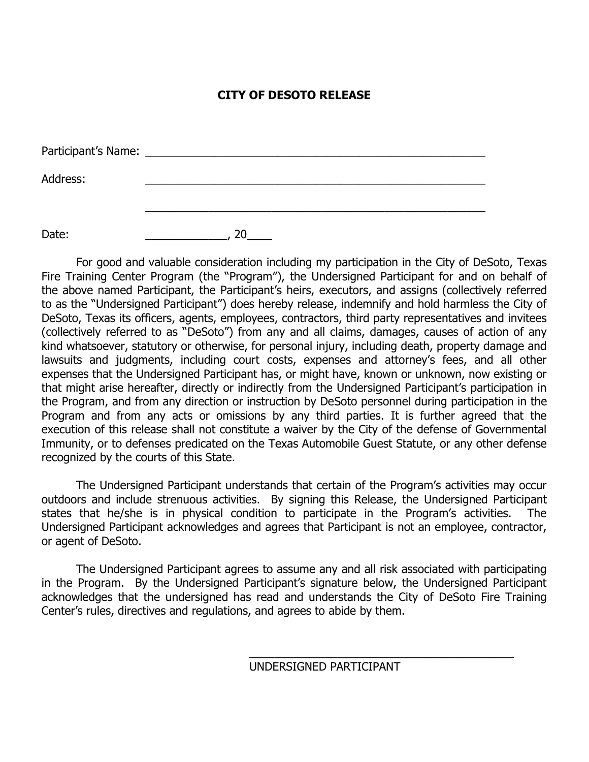#### **CITY OF DESOTO RELEASE**

| Participant's Name: |  |
|---------------------|--|
| Address:            |  |
|                     |  |
| Date:               |  |

For good and valuable consideration including my participation in the City of DeSoto, Texas Fire Training Center Program (the "Program"), the Undersigned Participant for and on behalf of the above named Participant, the Participant's heirs, executors, and assigns (collectively referred to as the "Undersigned Participant") does hereby release, indemnify and hold harmless the City of DeSoto, Texas its officers, agents, employees, contractors, third party representatives and invitees (collectively referred to as "DeSoto") from any and all claims, damages, causes of action of any kind whatsoever, statutory or otherwise, for personal injury, including death, property damage and lawsuits and judgments, including court costs, expenses and attorney's fees, and all other expenses that the Undersigned Participant has, or might have, known or unknown, now existing or that might arise hereafter, directly or indirectly from the Undersigned Participant's participation in the Program, and from any direction or instruction by DeSoto personnel during participation in the Program and from any acts or omissions by any third parties. It is further agreed that the execution of this release shall not constitute a waiver by the City of the defense of Governmental Immunity, or to defenses predicated on the Texas Automobile Guest Statute, or any other defense recognized by the courts of this State.

The Undersigned Participant understands that certain of the Program's activities may occur outdoors and include strenuous activities. By signing this Release, the Undersigned Participant states that he/she is in physical condition to participate in the Program's activities. The Undersigned Participant acknowledges and agrees that Participant is not an employee, contractor, or agent of DeSoto.

The Undersigned Participant agrees to assume any and all risk associated with participating in the Program. By the Undersigned Participant's signature below, the Undersigned Participant acknowledges that the undersigned has read and understands the City of DeSoto Fire Training Center's rules, directives and regulations, and agrees to abide by them.

UNDERSIGNED PARTICIPANT

\_\_\_\_\_\_\_\_\_\_\_\_\_\_\_\_\_\_\_\_\_\_\_\_\_\_\_\_\_\_\_\_\_\_\_\_\_\_\_\_\_\_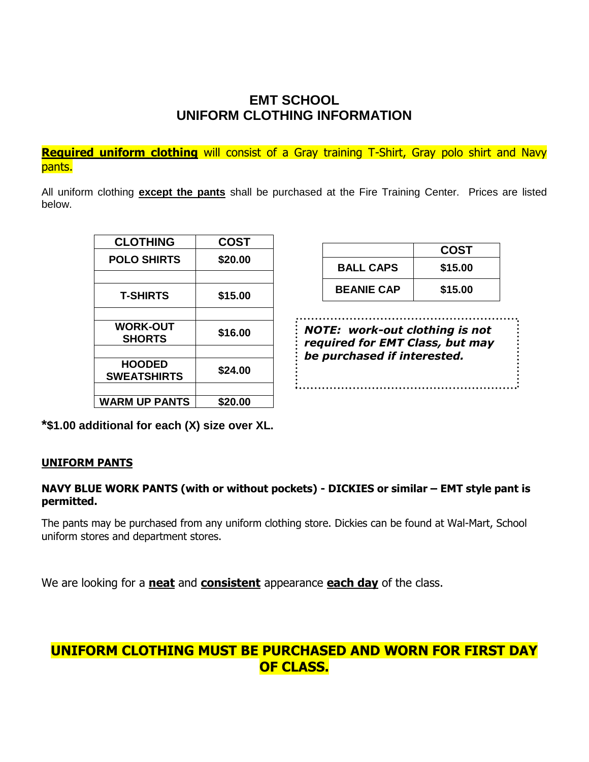# **EMT SCHOOL UNIFORM CLOTHING INFORMATION**

**Required uniform clothing** will consist of a Gray training T-Shirt, Gray polo shirt and Navy pants.

All uniform clothing **except the pants** shall be purchased at the Fire Training Center. Prices are listed below.

| <b>CLOTHING</b>      | <b>COST</b> |
|----------------------|-------------|
| <b>POLO SHIRTS</b>   | \$20.00     |
|                      |             |
| <b>T-SHIRTS</b>      | \$15.00     |
|                      |             |
| <b>WORK-OUT</b>      | \$16.00     |
| <b>SHORTS</b>        |             |
| <b>HOODED</b>        |             |
| <b>SWEATSHIRTS</b>   | \$24.00     |
|                      |             |
| <b>WARM UP PANTS</b> | \$20.00     |

|                   | <b>COST</b> |
|-------------------|-------------|
| <b>BALL CAPS</b>  | \$15.00     |
| <b>BEANIE CAP</b> | \$15.00     |

*NOTE: work-out clothing is not required for EMT Class, but may be purchased if interested.*

**\*\$1.00 additional for each (X) size over XL.**

#### **UNIFORM PANTS**

#### **NAVY BLUE WORK PANTS (with or without pockets) - DICKIES or similar – EMT style pant is permitted.**

The pants may be purchased from any uniform clothing store. Dickies can be found at Wal-Mart, School uniform stores and department stores.

We are looking for a **neat** and **consistent** appearance **each day** of the class.

## **UNIFORM CLOTHING MUST BE PURCHASED AND WORN FOR FIRST DAY OF CLASS.**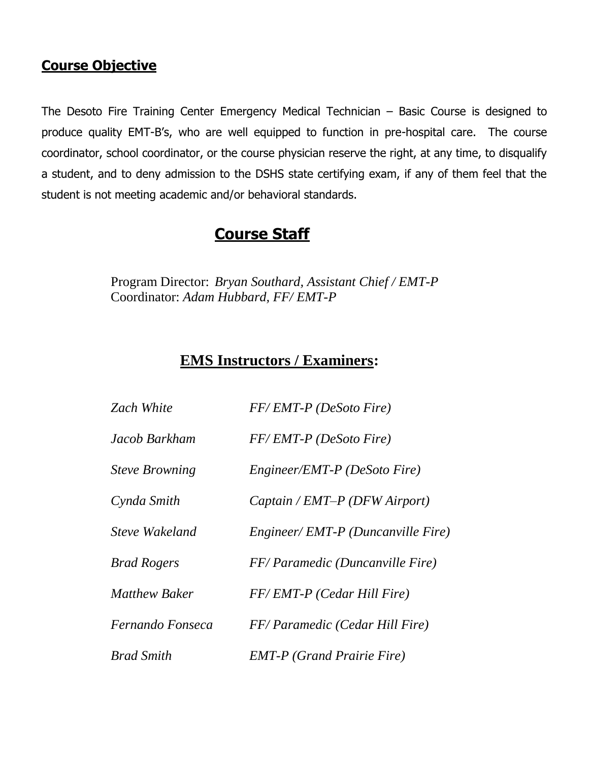# **Course Objective**

The Desoto Fire Training Center Emergency Medical Technician – Basic Course is designed to produce quality EMT-B's, who are well equipped to function in pre-hospital care. The course coordinator, school coordinator, or the course physician reserve the right, at any time, to disqualify a student, and to deny admission to the DSHS state certifying exam, if any of them feel that the student is not meeting academic and/or behavioral standards.

# **Course Staff**

Program Director: *Bryan Southard, Assistant Chief / EMT-P* Coordinator: *Adam Hubbard, FF/ EMT-P*

# **EMS Instructors / Examiners:**

| <b>Zach White</b>     | FF/EMT-P (DeSoto Fire)            |
|-----------------------|-----------------------------------|
| Jacob Barkham         | FF/EMT-P (DeSoto Fire)            |
| <b>Steve Browning</b> | Engineer/EMT-P (DeSoto Fire)      |
| Cynda Smith           | Captain / EMT-P (DFW Airport)     |
| Steve Wakeland        | Engineer/EMT-P (Duncanville Fire) |
| <b>Brad Rogers</b>    | FF/Paramedic (Duncanville Fire)   |
| <b>Matthew Baker</b>  | FF/EMT-P (Cedar Hill Fire)        |
| Fernando Fonseca      | FF/Paramedic (Cedar Hill Fire)    |
| <b>Brad Smith</b>     | <b>EMT-P</b> (Grand Prairie Fire) |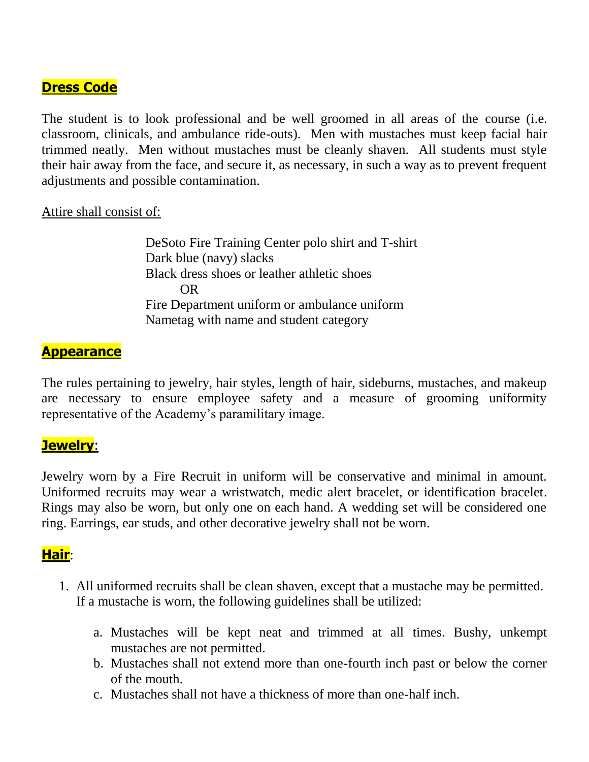# **Dress Code**

The student is to look professional and be well groomed in all areas of the course (i.e. classroom, clinicals, and ambulance ride-outs). Men with mustaches must keep facial hair trimmed neatly. Men without mustaches must be cleanly shaven. All students must style their hair away from the face, and secure it, as necessary, in such a way as to prevent frequent adjustments and possible contamination.

#### Attire shall consist of:

DeSoto Fire Training Center polo shirt and T-shirt Dark blue (navy) slacks Black dress shoes or leather athletic shoes OR Fire Department uniform or ambulance uniform Nametag with name and student category

## **Appearance**

The rules pertaining to jewelry, hair styles, length of hair, sideburns, mustaches, and makeup are necessary to ensure employee safety and a measure of grooming uniformity representative of the Academy's paramilitary image.

## **Jewelry**:

Jewelry worn by a Fire Recruit in uniform will be conservative and minimal in amount. Uniformed recruits may wear a wristwatch, medic alert bracelet, or identification bracelet. Rings may also be worn, but only one on each hand. A wedding set will be considered one ring. Earrings, ear studs, and other decorative jewelry shall not be worn.

## **Hair**:

- 1. All uniformed recruits shall be clean shaven, except that a mustache may be permitted. If a mustache is worn, the following guidelines shall be utilized:
	- a. Mustaches will be kept neat and trimmed at all times. Bushy, unkempt mustaches are not permitted.
	- b. Mustaches shall not extend more than one-fourth inch past or below the corner of the mouth.
	- c. Mustaches shall not have a thickness of more than one-half inch.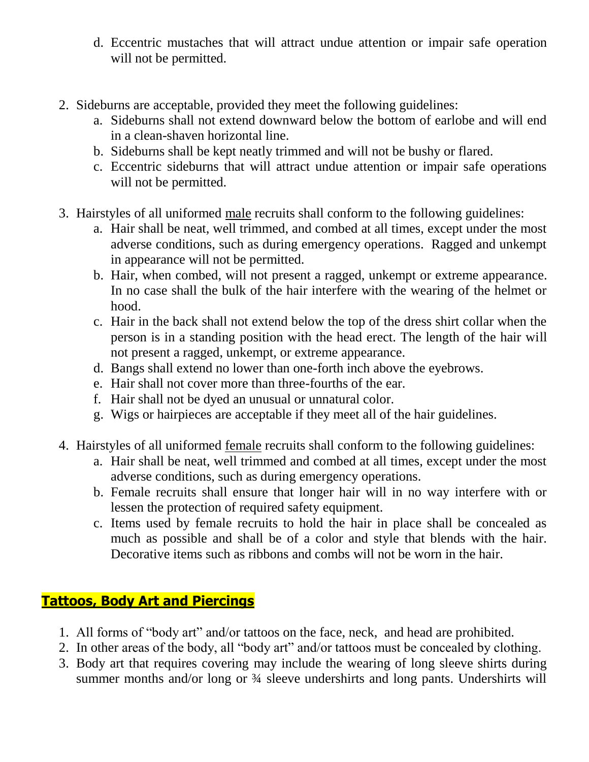- d. Eccentric mustaches that will attract undue attention or impair safe operation will not be permitted.
- 2. Sideburns are acceptable, provided they meet the following guidelines:
	- a. Sideburns shall not extend downward below the bottom of earlobe and will end in a clean-shaven horizontal line.
	- b. Sideburns shall be kept neatly trimmed and will not be bushy or flared.
	- c. Eccentric sideburns that will attract undue attention or impair safe operations will not be permitted.
- 3. Hairstyles of all uniformed male recruits shall conform to the following guidelines:
	- a. Hair shall be neat, well trimmed, and combed at all times, except under the most adverse conditions, such as during emergency operations. Ragged and unkempt in appearance will not be permitted.
	- b. Hair, when combed, will not present a ragged, unkempt or extreme appearance. In no case shall the bulk of the hair interfere with the wearing of the helmet or hood.
	- c. Hair in the back shall not extend below the top of the dress shirt collar when the person is in a standing position with the head erect. The length of the hair will not present a ragged, unkempt, or extreme appearance.
	- d. Bangs shall extend no lower than one-forth inch above the eyebrows.
	- e. Hair shall not cover more than three-fourths of the ear.
	- f. Hair shall not be dyed an unusual or unnatural color.
	- g. Wigs or hairpieces are acceptable if they meet all of the hair guidelines.
- 4. Hairstyles of all uniformed female recruits shall conform to the following guidelines:
	- a. Hair shall be neat, well trimmed and combed at all times, except under the most adverse conditions, such as during emergency operations.
	- b. Female recruits shall ensure that longer hair will in no way interfere with or lessen the protection of required safety equipment.
	- c. Items used by female recruits to hold the hair in place shall be concealed as much as possible and shall be of a color and style that blends with the hair. Decorative items such as ribbons and combs will not be worn in the hair.

# **Tattoos, Body Art and Piercings**

- 1. All forms of "body art" and/or tattoos on the face, neck, and head are prohibited.
- 2. In other areas of the body, all "body art" and/or tattoos must be concealed by clothing.
- 3. Body art that requires covering may include the wearing of long sleeve shirts during summer months and/or long or  $\frac{3}{4}$  sleeve undershirts and long pants. Undershirts will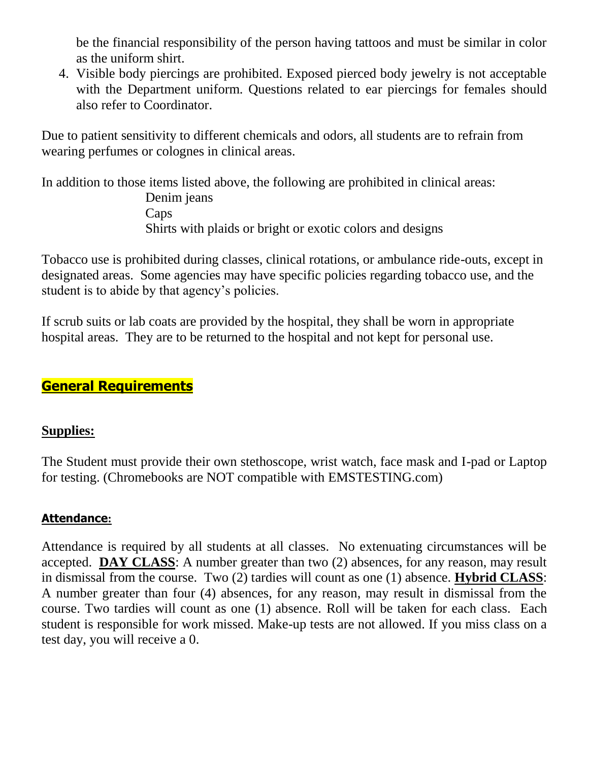be the financial responsibility of the person having tattoos and must be similar in color as the uniform shirt.

4. Visible body piercings are prohibited. Exposed pierced body jewelry is not acceptable with the Department uniform. Questions related to ear piercings for females should also refer to Coordinator.

Due to patient sensitivity to different chemicals and odors, all students are to refrain from wearing perfumes or colognes in clinical areas.

In addition to those items listed above, the following are prohibited in clinical areas: Denim jeans Caps Shirts with plaids or bright or exotic colors and designs

Tobacco use is prohibited during classes, clinical rotations, or ambulance ride-outs, except in designated areas. Some agencies may have specific policies regarding tobacco use, and the student is to abide by that agency's policies.

If scrub suits or lab coats are provided by the hospital, they shall be worn in appropriate hospital areas. They are to be returned to the hospital and not kept for personal use.

# **General Requirements**

## **Supplies:**

The Student must provide their own stethoscope, wrist watch, face mask and I-pad or Laptop for testing. (Chromebooks are NOT compatible with EMSTESTING.com)

#### **Attendance:**

Attendance is required by all students at all classes. No extenuating circumstances will be accepted. **DAY CLASS**: A number greater than two (2) absences, for any reason, may result in dismissal from the course. Two (2) tardies will count as one (1) absence. **Hybrid CLASS**: A number greater than four (4) absences, for any reason, may result in dismissal from the course. Two tardies will count as one (1) absence. Roll will be taken for each class. Each student is responsible for work missed. Make-up tests are not allowed. If you miss class on a test day, you will receive a 0.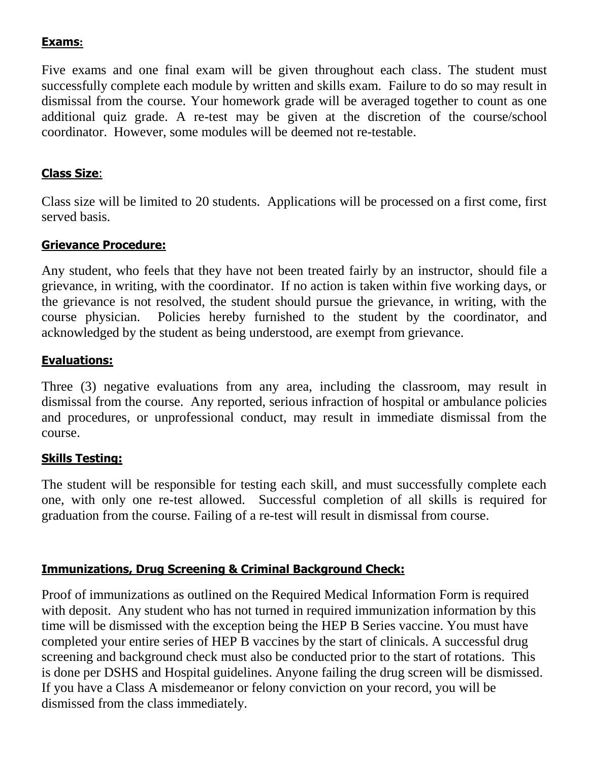#### **Exams:**

Five exams and one final exam will be given throughout each class. The student must successfully complete each module by written and skills exam. Failure to do so may result in dismissal from the course. Your homework grade will be averaged together to count as one additional quiz grade. A re-test may be given at the discretion of the course/school coordinator. However, some modules will be deemed not re-testable.

#### **Class Size**:

Class size will be limited to 20 students. Applications will be processed on a first come, first served basis.

#### **Grievance Procedure:**

Any student, who feels that they have not been treated fairly by an instructor, should file a grievance, in writing, with the coordinator. If no action is taken within five working days, or the grievance is not resolved, the student should pursue the grievance, in writing, with the course physician. Policies hereby furnished to the student by the coordinator, and acknowledged by the student as being understood, are exempt from grievance.

#### **Evaluations:**

Three (3) negative evaluations from any area, including the classroom, may result in dismissal from the course. Any reported, serious infraction of hospital or ambulance policies and procedures, or unprofessional conduct, may result in immediate dismissal from the course.

#### **Skills Testing:**

The student will be responsible for testing each skill, and must successfully complete each one, with only one re-test allowed. Successful completion of all skills is required for graduation from the course. Failing of a re-test will result in dismissal from course.

#### **Immunizations, Drug Screening & Criminal Background Check:**

Proof of immunizations as outlined on the Required Medical Information Form is required with deposit. Any student who has not turned in required immunization information by this time will be dismissed with the exception being the HEP B Series vaccine. You must have completed your entire series of HEP B vaccines by the start of clinicals. A successful drug screening and background check must also be conducted prior to the start of rotations. This is done per DSHS and Hospital guidelines. Anyone failing the drug screen will be dismissed. If you have a Class A misdemeanor or felony conviction on your record, you will be dismissed from the class immediately.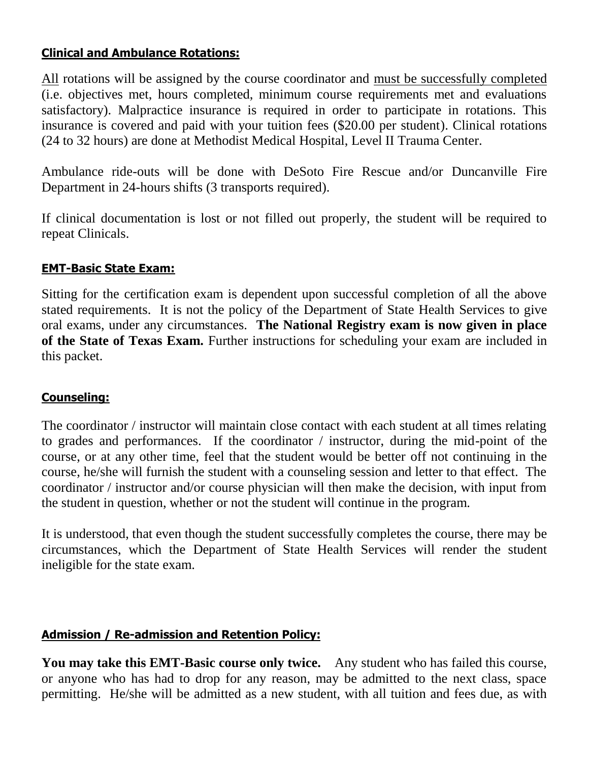#### **Clinical and Ambulance Rotations:**

All rotations will be assigned by the course coordinator and must be successfully completed (i.e. objectives met, hours completed, minimum course requirements met and evaluations satisfactory). Malpractice insurance is required in order to participate in rotations. This insurance is covered and paid with your tuition fees (\$20.00 per student). Clinical rotations (24 to 32 hours) are done at Methodist Medical Hospital, Level II Trauma Center.

Ambulance ride-outs will be done with DeSoto Fire Rescue and/or Duncanville Fire Department in 24-hours shifts (3 transports required).

If clinical documentation is lost or not filled out properly, the student will be required to repeat Clinicals.

## **EMT-Basic State Exam:**

Sitting for the certification exam is dependent upon successful completion of all the above stated requirements. It is not the policy of the Department of State Health Services to give oral exams, under any circumstances. **The National Registry exam is now given in place of the State of Texas Exam.** Further instructions for scheduling your exam are included in this packet.

#### **Counseling:**

The coordinator / instructor will maintain close contact with each student at all times relating to grades and performances. If the coordinator / instructor, during the mid-point of the course, or at any other time, feel that the student would be better off not continuing in the course, he/she will furnish the student with a counseling session and letter to that effect. The coordinator / instructor and/or course physician will then make the decision, with input from the student in question, whether or not the student will continue in the program.

It is understood, that even though the student successfully completes the course, there may be circumstances, which the Department of State Health Services will render the student ineligible for the state exam.

## **Admission / Re-admission and Retention Policy:**

**You may take this EMT-Basic course only twice.** Any student who has failed this course, or anyone who has had to drop for any reason, may be admitted to the next class, space permitting. He/she will be admitted as a new student, with all tuition and fees due, as with